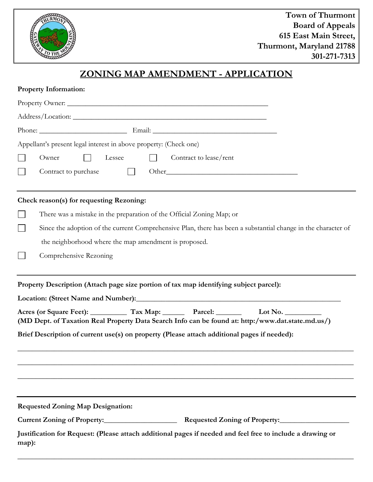

## **ZONING MAP AMENDMENT - APPLICATION**

| <b>Property Information:</b>                                                                                                                                                                                                                          |  |  |  |
|-------------------------------------------------------------------------------------------------------------------------------------------------------------------------------------------------------------------------------------------------------|--|--|--|
| Property Owner:                                                                                                                                                                                                                                       |  |  |  |
|                                                                                                                                                                                                                                                       |  |  |  |
|                                                                                                                                                                                                                                                       |  |  |  |
| Appellant's present legal interest in above property: (Check one)                                                                                                                                                                                     |  |  |  |
| Owner<br>Lessee<br>Contract to lease/rent                                                                                                                                                                                                             |  |  |  |
| Contract to purchase<br>Other Changes and Changes and Changes and Changes and Changes and Changes and Changes and Changes and Changes and Changes and Changes and Changes and Changes and Changes and Changes and Changes and Changes and Changes and |  |  |  |
| Check reason(s) for requesting Rezoning:                                                                                                                                                                                                              |  |  |  |
| There was a mistake in the preparation of the Official Zoning Map; or                                                                                                                                                                                 |  |  |  |
| Since the adoption of the current Comprehensive Plan, there has been a substantial change in the character of                                                                                                                                         |  |  |  |
| the neighborhood where the map amendment is proposed.                                                                                                                                                                                                 |  |  |  |
| Comprehensive Rezoning                                                                                                                                                                                                                                |  |  |  |
| Property Description (Attach page size portion of tax map identifying subject parcel):                                                                                                                                                                |  |  |  |
|                                                                                                                                                                                                                                                       |  |  |  |
| Acres (or Square Feet): Tax Map: Parcel: Lot No.<br>(MD Dept. of Taxation Real Property Data Search Info can be found at: http:/www.dat.state.md.us/)                                                                                                 |  |  |  |
| Brief Description of current use(s) on property (Please attach additional pages if needed):                                                                                                                                                           |  |  |  |
|                                                                                                                                                                                                                                                       |  |  |  |
| <b>Requested Zoning Map Designation:</b>                                                                                                                                                                                                              |  |  |  |
|                                                                                                                                                                                                                                                       |  |  |  |
| Justification for Request: (Please attach additional pages if needed and feel free to include a drawing or<br>map):                                                                                                                                   |  |  |  |